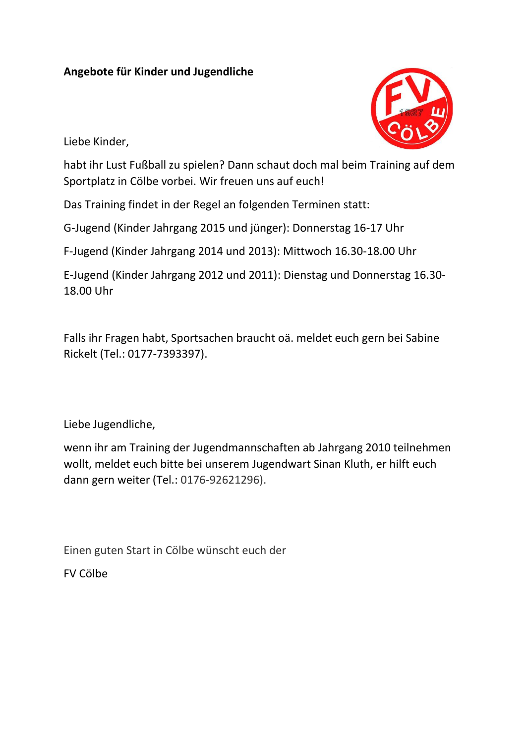## **Angebote für Kinder und Jugendliche**



Liebe Kinder,

habt ihr Lust Fußball zu spielen? Dann schaut doch mal beim Training auf dem Sportplatz in Cölbe vorbei. Wir freuen uns auf euch!

Das Training findet in der Regel an folgenden Terminen statt:

G-Jugend (Kinder Jahrgang 2015 und jünger): Donnerstag 16-17 Uhr

F-Jugend (Kinder Jahrgang 2014 und 2013): Mittwoch 16.30-18.00 Uhr

E-Jugend (Kinder Jahrgang 2012 und 2011): Dienstag und Donnerstag 16.30- 18.00 Uhr

Falls ihr Fragen habt, Sportsachen braucht oä. meldet euch gern bei Sabine Rickelt (Tel.: 0177-7393397).

Liebe Jugendliche,

wenn ihr am Training der Jugendmannschaften ab Jahrgang 2010 teilnehmen wollt, meldet euch bitte bei unserem Jugendwart Sinan Kluth, er hilft euch dann gern weiter (Tel.: 0176-92621296).

Einen guten Start in Cölbe wünscht euch der

FV Cölbe